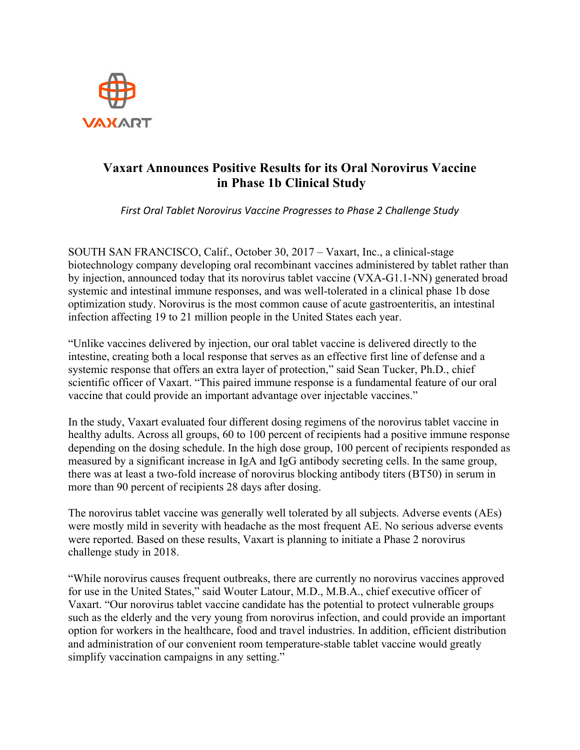

# **Vaxart Announces Positive Results for its Oral Norovirus Vaccine in Phase 1b Clinical Study**

*First Oral Tablet Norovirus Vaccine Progresses to Phase 2 Challenge Study* 

SOUTH SAN FRANCISCO, Calif., October 30, 2017 – Vaxart, Inc., a clinical-stage biotechnology company developing oral recombinant vaccines administered by tablet rather than by injection, announced today that its norovirus tablet vaccine (VXA-G1.1-NN) generated broad systemic and intestinal immune responses, and was well-tolerated in a clinical phase 1b dose optimization study. Norovirus is the most common cause of acute gastroenteritis, an intestinal infection affecting 19 to 21 million people in the United States each year.

"Unlike vaccines delivered by injection, our oral tablet vaccine is delivered directly to the intestine, creating both a local response that serves as an effective first line of defense and a systemic response that offers an extra layer of protection," said Sean Tucker, Ph.D., chief scientific officer of Vaxart. "This paired immune response is a fundamental feature of our oral vaccine that could provide an important advantage over injectable vaccines."

In the study, Vaxart evaluated four different dosing regimens of the norovirus tablet vaccine in healthy adults. Across all groups, 60 to 100 percent of recipients had a positive immune response depending on the dosing schedule. In the high dose group, 100 percent of recipients responded as measured by a significant increase in IgA and IgG antibody secreting cells. In the same group, there was at least a two-fold increase of norovirus blocking antibody titers (BT50) in serum in more than 90 percent of recipients 28 days after dosing.

The norovirus tablet vaccine was generally well tolerated by all subjects. Adverse events (AEs) were mostly mild in severity with headache as the most frequent AE. No serious adverse events were reported. Based on these results, Vaxart is planning to initiate a Phase 2 norovirus challenge study in 2018.

"While norovirus causes frequent outbreaks, there are currently no norovirus vaccines approved for use in the United States," said Wouter Latour, M.D., M.B.A., chief executive officer of Vaxart. "Our norovirus tablet vaccine candidate has the potential to protect vulnerable groups such as the elderly and the very young from norovirus infection, and could provide an important option for workers in the healthcare, food and travel industries. In addition, efficient distribution and administration of our convenient room temperature-stable tablet vaccine would greatly simplify vaccination campaigns in any setting."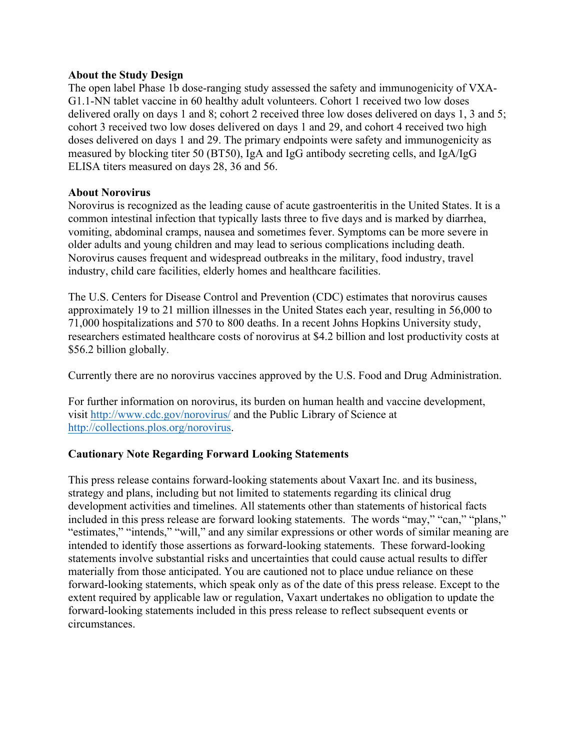#### **About the Study Design**

The open label Phase 1b dose-ranging study assessed the safety and immunogenicity of VXA-G1.1-NN tablet vaccine in 60 healthy adult volunteers. Cohort 1 received two low doses delivered orally on days 1 and 8; cohort 2 received three low doses delivered on days 1, 3 and 5; cohort 3 received two low doses delivered on days 1 and 29, and cohort 4 received two high doses delivered on days 1 and 29. The primary endpoints were safety and immunogenicity as measured by blocking titer 50 (BT50), IgA and IgG antibody secreting cells, and IgA/IgG ELISA titers measured on days 28, 36 and 56.

### **About Norovirus**

Norovirus is recognized as the leading cause of acute gastroenteritis in the United States. It is a common intestinal infection that typically lasts three to five days and is marked by diarrhea, vomiting, abdominal cramps, nausea and sometimes fever. Symptoms can be more severe in older adults and young children and may lead to serious complications including death. Norovirus causes frequent and widespread outbreaks in the military, food industry, travel industry, child care facilities, elderly homes and healthcare facilities.

The U.S. Centers for Disease Control and Prevention (CDC) estimates that norovirus causes approximately 19 to 21 million illnesses in the United States each year, resulting in 56,000 to 71,000 hospitalizations and 570 to 800 deaths. In a recent Johns Hopkins University study, researchers estimated healthcare costs of norovirus at \$4.2 billion and lost productivity costs at \$56.2 billion globally.

Currently there are no norovirus vaccines approved by the U.S. Food and Drug Administration.

For further information on norovirus, its burden on human health and vaccine development, visit http://www.cdc.gov/norovirus/ and the Public Library of Science at http://collections.plos.org/norovirus.

## **Cautionary Note Regarding Forward Looking Statements**

This press release contains forward-looking statements about Vaxart Inc. and its business, strategy and plans, including but not limited to statements regarding its clinical drug development activities and timelines. All statements other than statements of historical facts included in this press release are forward looking statements. The words "may," "can," "plans," "estimates," "intends," "will," and any similar expressions or other words of similar meaning are intended to identify those assertions as forward-looking statements. These forward-looking statements involve substantial risks and uncertainties that could cause actual results to differ materially from those anticipated. You are cautioned not to place undue reliance on these forward-looking statements, which speak only as of the date of this press release. Except to the extent required by applicable law or regulation, Vaxart undertakes no obligation to update the forward-looking statements included in this press release to reflect subsequent events or circumstances.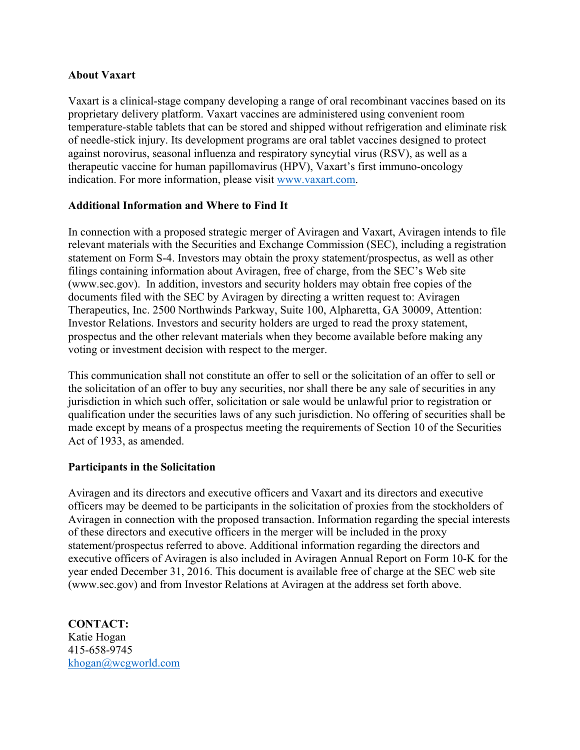## **About Vaxart**

Vaxart is a clinical-stage company developing a range of oral recombinant vaccines based on its proprietary delivery platform. Vaxart vaccines are administered using convenient room temperature-stable tablets that can be stored and shipped without refrigeration and eliminate risk of needle-stick injury. Its development programs are oral tablet vaccines designed to protect against norovirus, seasonal influenza and respiratory syncytial virus (RSV), as well as a therapeutic vaccine for human papillomavirus (HPV), Vaxart's first immuno-oncology indication. For more information, please visit www.vaxart.com.

# **Additional Information and Where to Find It**

In connection with a proposed strategic merger of Aviragen and Vaxart, Aviragen intends to file relevant materials with the Securities and Exchange Commission (SEC), including a registration statement on Form S-4. Investors may obtain the proxy statement/prospectus, as well as other filings containing information about Aviragen, free of charge, from the SEC's Web site (www.sec.gov). In addition, investors and security holders may obtain free copies of the documents filed with the SEC by Aviragen by directing a written request to: Aviragen Therapeutics, Inc. 2500 Northwinds Parkway, Suite 100, Alpharetta, GA 30009, Attention: Investor Relations. Investors and security holders are urged to read the proxy statement, prospectus and the other relevant materials when they become available before making any voting or investment decision with respect to the merger.

This communication shall not constitute an offer to sell or the solicitation of an offer to sell or the solicitation of an offer to buy any securities, nor shall there be any sale of securities in any jurisdiction in which such offer, solicitation or sale would be unlawful prior to registration or qualification under the securities laws of any such jurisdiction. No offering of securities shall be made except by means of a prospectus meeting the requirements of Section 10 of the Securities Act of 1933, as amended.

## **Participants in the Solicitation**

Aviragen and its directors and executive officers and Vaxart and its directors and executive officers may be deemed to be participants in the solicitation of proxies from the stockholders of Aviragen in connection with the proposed transaction. Information regarding the special interests of these directors and executive officers in the merger will be included in the proxy statement/prospectus referred to above. Additional information regarding the directors and executive officers of Aviragen is also included in Aviragen Annual Report on Form 10-K for the year ended December 31, 2016. This document is available free of charge at the SEC web site (www.sec.gov) and from Investor Relations at Aviragen at the address set forth above.

**CONTACT:** Katie Hogan 415-658-9745 khogan@wcgworld.com